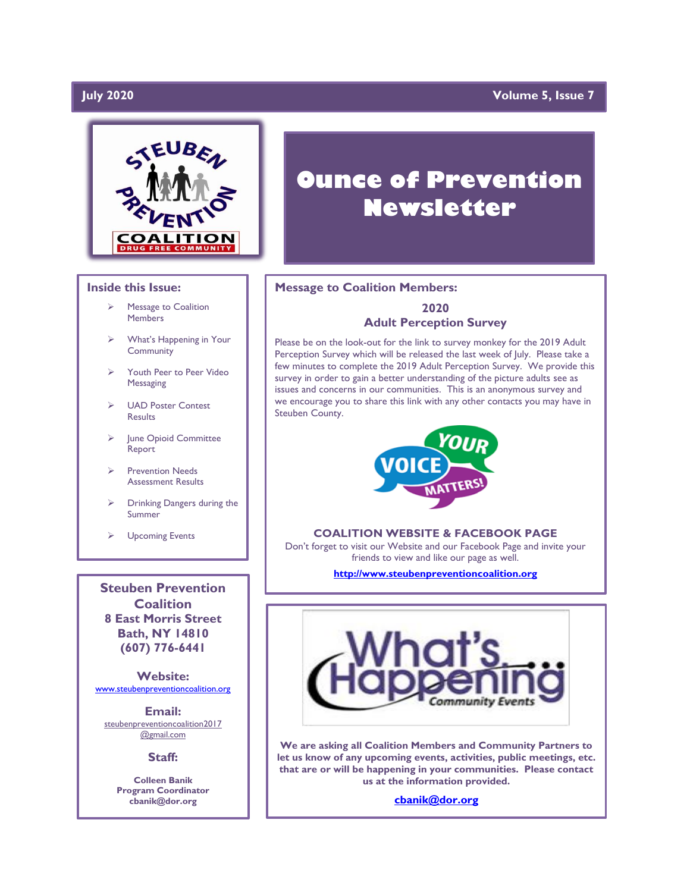### **July 2020**

### **Volume 5, Issue 7**



#### **Inside this Issue:**

- ➢ Message to Coalition Members
- What's Happening in Your **Community**
- ➢ Youth Peer to Peer Video Messaging
- ➢ UAD Poster Contest **Results**
- ➢ June Opioid Committee Report
- ➢ Prevention Needs Assessment Results
- ➢ Drinking Dangers during the Summer
- ➢ Upcoming Events

**Steuben Prevention Coalition 8 East Morris Street Bath, NY 14810 (607) 776-6441**

**Website:**  [www.steubenpreventioncoalition.org](http://www.steubenpreventioncoalition.org/)

**Email:**  steubenpreventioncoalition2017 @gmail.com

**Staff:**

**Colleen Banik Program Coordinator cbanik@dor.org**

# **Ounce of Prevention Newsletter**

#### **Message to Coalition Members:**

#### **2020 Adult Perception Survey**

Please be on the look-out for the link to survey monkey for the 2019 Adult Perception Survey which will be released the last week of July. Please take a few minutes to complete the 2019 Adult Perception Survey. We provide this survey in order to gain a better understanding of the picture adults see as issues and concerns in our communities. This is an anonymous survey and we encourage you to share this link with any other contacts you may have in Steuben County.



#### **COALITION WEBSITE & FACEBOOK PAGE**

Don't forget to visit our Website and our Facebook Page and invite your friends to view and like our page as well.

**[http://www.steubenpreventioncoalition.org](http://www.steubenpreventioncoalition.org/)**



**We are asking all Coalition Members and Community Partners to let us know of any upcoming events, activities, public meetings, etc. that are or will be happening in your communities. Please contact us at the information provided.**

**[cbanik@dor.org](mailto:cbanik@dor.org)**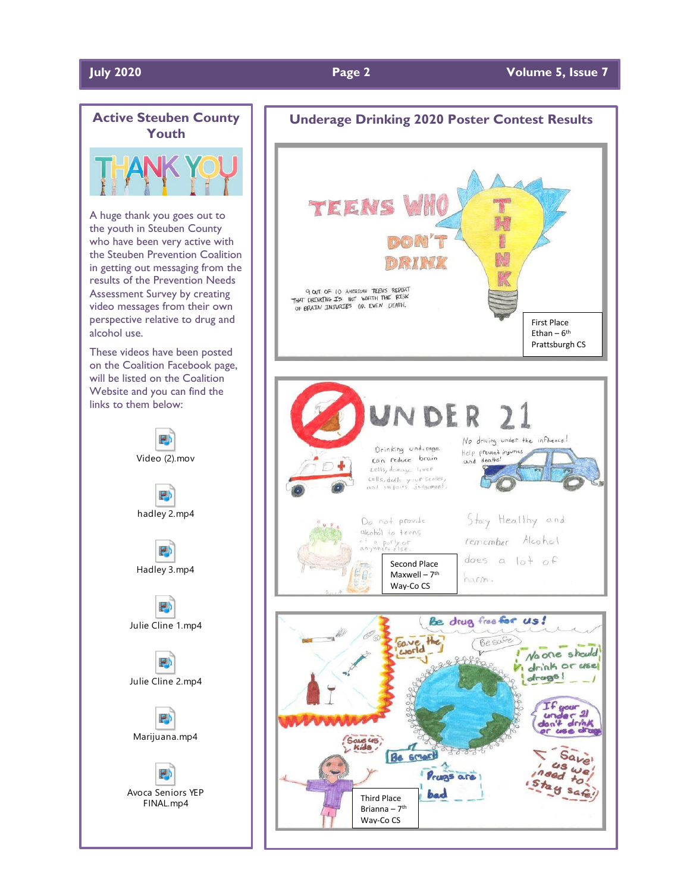#### **July 2020 Page 2 Volume 5, Issue 7**



### **Underage Drinking 2020 Poster Contest Results** TEENS 15 9 OUT OF 10 AMERICAN TEENS REPORT<br>THAT DREINEDIG IS NOT WORTH THE RISK<br>OF BRAILV INJURIES OR EVEN DEATH. First Place Ethan – 6<sup>th</sup> Prattsburgh CS Ir VDER No driving under the influence! Drinking underage Help prevent injuries con reduce brain  $\text{cells}$ , domage liver cells, dolls your senses, Stay Healthy and Do not provide alcohol to teens remember Alcohol <sup>of</sup> a posty or<br>anywhere else. does a  $\left| \right|$  of Second Place  $\mathbb{R}$ Maxwell – 7<sup>th</sup> harm. Way-Co CS Be drug free for us! Gave the Be safe No one should 288888 drink or use drags! our<br>artist aue 45 Be smart Save Je Prugs are bad Third Place Brianna – 7<sup>th</sup> Way-Co CS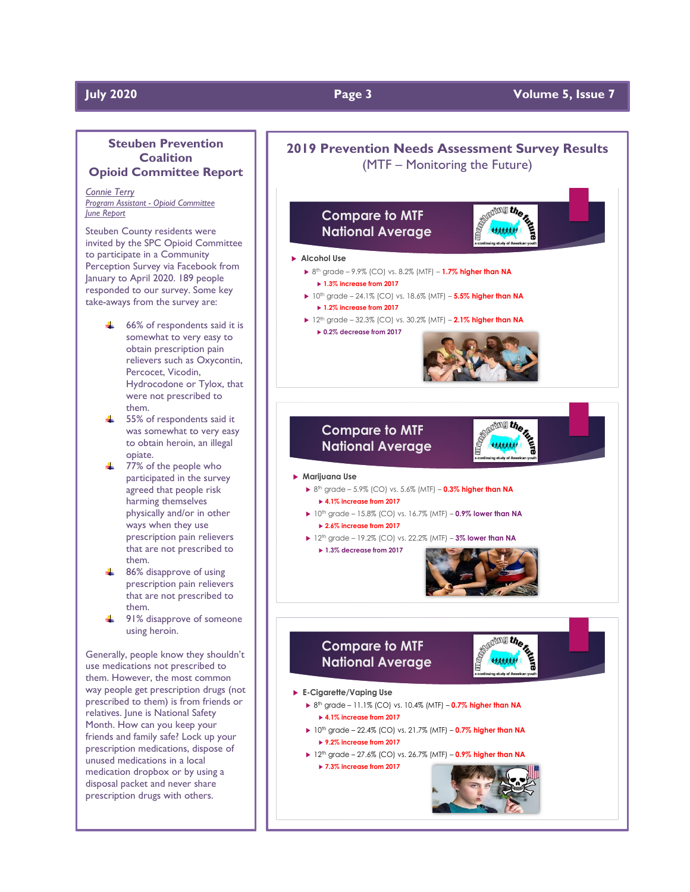#### **July 2020 Page 3 Volume 5, Issue 7**

#### **Steuben Prevention Coalition Opioid Committee Report**

*Connie Terry Program Assistant - Opioid Committee June Report*

Steuben County residents were invited by the SPC Opioid Committee to participate in a Community Perception Survey via Facebook from January to April 2020. 189 people responded to our survey. Some key take-aways from the survey are:

- $\div$  66% of respondents said it is somewhat to very easy to obtain prescription pain relievers such as Oxycontin, Percocet, Vicodin, Hydrocodone or Tylox, that were not prescribed to them.
- $\frac{1}{2}$  55% of respondents said it was somewhat to very easy to obtain heroin, an illegal opiate.
- $\div$  77% of the people who participated in the survey agreed that people risk harming themselves physically and/or in other ways when they use prescription pain relievers that are not prescribed to them.
- $\frac{1}{2}$  86% disapprove of using prescription pain relievers that are not prescribed to them.
- $\frac{1}{2}$  91% disapprove of someone using heroin.

Generally, people know they shouldn't use medications not prescribed to them. However, the most common way people get prescription drugs (not prescribed to them) is from friends or relatives. June is National Safety Month. How can you keep your friends and family safe? Lock up your prescription medications, dispose of unused medications in a local medication dropbox or by using a disposal packet and never share prescription drugs with others.